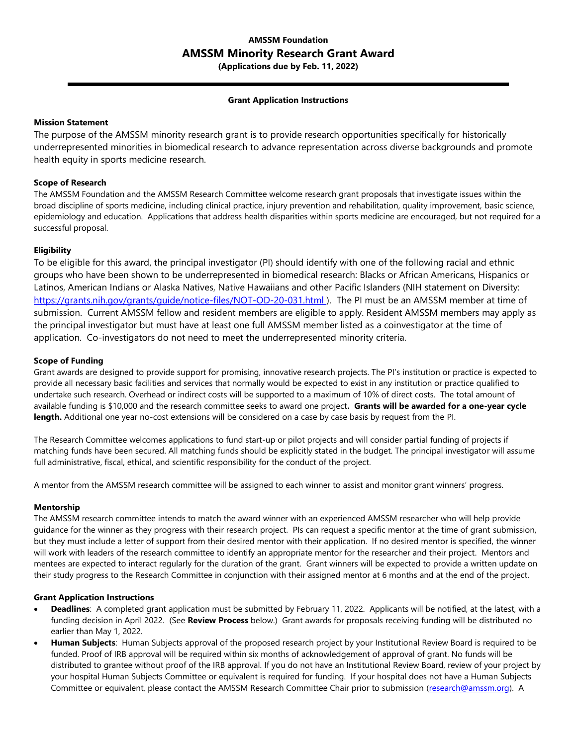# **AMSSM Foundation AMSSM Minority Research Grant Award**

**(Applications due by Feb. 11, 2022)**

### **Grant Application Instructions**

# **Mission Statement**

The purpose of the AMSSM minority research grant is to provide research opportunities specifically for historically underrepresented minorities in biomedical research to advance representation across diverse backgrounds and promote health equity in sports medicine research.

# **Scope of Research**

The AMSSM Foundation and the AMSSM Research Committee welcome research grant proposals that investigate issues within the broad discipline of sports medicine, including clinical practice, injury prevention and rehabilitation, quality improvement, basic science, epidemiology and education. Applications that address health disparities within sports medicine are encouraged, but not required for a successful proposal.

# **Eligibility**

To be eligible for this award, the principal investigator (PI) should identify with one of the following racial and ethnic groups who have been shown to be underrepresented in biomedical research: Blacks or African Americans, Hispanics or Latinos, American Indians or Alaska Natives, Native Hawaiians and other Pacific Islanders (NIH statement on Diversity: <https://grants.nih.gov/grants/guide/notice-files/NOT-OD-20-031.html> ). The PI must be an AMSSM member at time of submission. Current AMSSM fellow and resident members are eligible to apply. Resident AMSSM members may apply as the principal investigator but must have at least one full AMSSM member listed as a coinvestigator at the time of application. Co-investigators do not need to meet the underrepresented minority criteria.

# **Scope of Funding**

Grant awards are designed to provide support for promising, innovative research projects. The PI's institution or practice is expected to provide all necessary basic facilities and services that normally would be expected to exist in any institution or practice qualified to undertake such research. Overhead or indirect costs will be supported to a maximum of 10% of direct costs. The total amount of available funding is \$10,000 and the research committee seeks to award one project**. Grants will be awarded for a one-year cycle length.** Additional one year no-cost extensions will be considered on a case by case basis by request from the PI.

The Research Committee welcomes applications to fund start-up or pilot projects and will consider partial funding of projects if matching funds have been secured. All matching funds should be explicitly stated in the budget. The principal investigator will assume full administrative, fiscal, ethical, and scientific responsibility for the conduct of the project.

A mentor from the AMSSM research committee will be assigned to each winner to assist and monitor grant winners' progress.

#### **Mentorship**

The AMSSM research committee intends to match the award winner with an experienced AMSSM researcher who will help provide guidance for the winner as they progress with their research project. PIs can request a specific mentor at the time of grant submission, but they must include a letter of support from their desired mentor with their application. If no desired mentor is specified, the winner will work with leaders of the research committee to identify an appropriate mentor for the researcher and their project. Mentors and mentees are expected to interact regularly for the duration of the grant. Grant winners will be expected to provide a written update on their study progress to the Research Committee in conjunction with their assigned mentor at 6 months and at the end of the project.

#### **Grant Application Instructions**

- **Deadlines**: A completed grant application must be submitted by February 11, 2022. Applicants will be notified, at the latest, with a funding decision in April 2022. (See **Review Process** below.) Grant awards for proposals receiving funding will be distributed no earlier than May 1, 2022.
- **Human Subjects**: Human Subjects approval of the proposed research project by your Institutional Review Board is required to be funded. Proof of IRB approval will be required within six months of acknowledgement of approval of grant. No funds will be distributed to grantee without proof of the IRB approval. If you do not have an Institutional Review Board, review of your project by your hospital Human Subjects Committee or equivalent is required for funding. If your hospital does not have a Human Subjects Committee or equivalent, please contact the AMSSM Research Committee Chair prior to submission [\(research@amssm.org\)](mailto:research@amssm.org). A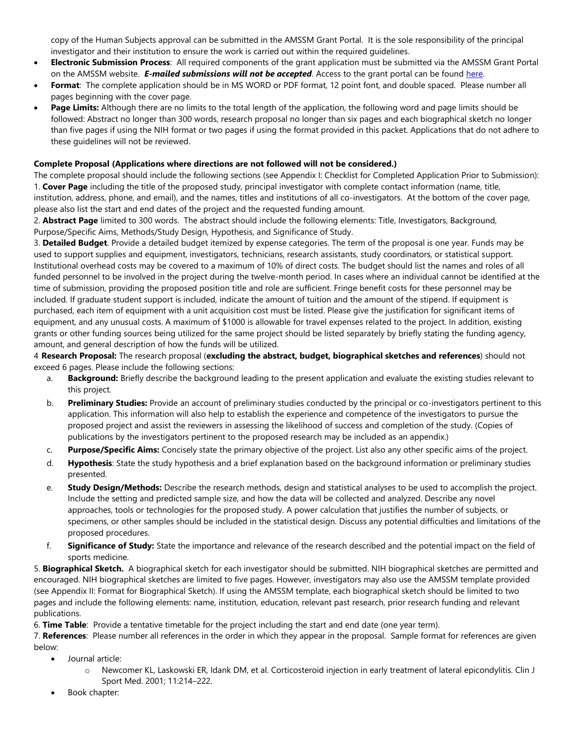copy of the Human Subjects approval can be submitted in the AMSSM Grant Portal. It is the sole responsibility of the principal investigator and their institution to ensure the work is carried out within the required guidelines.

- **Electronic Submission Process**: All required components of the grant application must be submitted via the AMSSM Grant Portal on the AMSSM website. *E-mailed submissions will not be accepted*. Access to the grant portal can be found [here.](https://www.amssm.org/Research.php)
- **Format**: The complete application should be in MS WORD or PDF format, 12 point font, and double spaced. Please number all pages beginning with the cover page.
- **Page Limits:** Although there are no limits to the total length of the application, the following word and page limits should be followed: Abstract no longer than 300 words, research proposal no longer than six pages and each biographical sketch no longer than five pages if using the NIH format or two pages if using the format provided in this packet. Applications that do not adhere to these guidelines will not be reviewed.

# **Complete Proposal (Applications where directions are not followed will not be considered.)**

The complete proposal should include the following sections (see Appendix I: Checklist for Completed Application Prior to Submission): 1. **Cover Page** including the title of the proposed study, principal investigator with complete contact information (name, title, institution, address, phone, and email), and the names, titles and institutions of all co-investigators. At the bottom of the cover page, please also list the start and end dates of the project and the requested funding amount.

2. **Abstract Page** limited to 300 words. The abstract should include the following elements: Title, Investigators, Background, Purpose/Specific Aims, Methods/Study Design, Hypothesis, and Significance of Study.

3. **Detailed Budget**. Provide a detailed budget itemized by expense categories. The term of the proposal is one year. Funds may be used to support supplies and equipment, investigators, technicians, research assistants, study coordinators, or statistical support. Institutional overhead costs may be covered to a maximum of 10% of direct costs. The budget should list the names and roles of all funded personnel to be involved in the project during the twelve-month period. In cases where an individual cannot be identified at the time of submission, providing the proposed position title and role are sufficient. Fringe benefit costs for these personnel may be included. If graduate student support is included, indicate the amount of tuition and the amount of the stipend. If equipment is purchased, each item of equipment with a unit acquisition cost must be listed. Please give the justification for significant items of equipment, and any unusual costs. A maximum of \$1000 is allowable for travel expenses related to the project. In addition, existing grants or other funding sources being utilized for the same project should be listed separately by briefly stating the funding agency, amount, and general description of how the funds will be utilized.

4 **Research Proposal:** The research proposal (**excluding the abstract, budget, biographical sketches and references**) should not exceed 6 pages. Please include the following sections:

- a. **Background:** Briefly describe the background leading to the present application and evaluate the existing studies relevant to this project.
- b. **Preliminary Studies:** Provide an account of preliminary studies conducted by the principal or co-investigators pertinent to this application. This information will also help to establish the experience and competence of the investigators to pursue the proposed project and assist the reviewers in assessing the likelihood of success and completion of the study. (Copies of publications by the investigators pertinent to the proposed research may be included as an appendix.)
- c. **Purpose/Specific Aims:** Concisely state the primary objective of the project. List also any other specific aims of the project.
- d. **Hypothesis**: State the study hypothesis and a brief explanation based on the background information or preliminary studies presented.
- e. **Study Design/Methods:** Describe the research methods, design and statistical analyses to be used to accomplish the project. Include the setting and predicted sample size, and how the data will be collected and analyzed. Describe any novel approaches, tools or technologies for the proposed study. A power calculation that justifies the number of subjects, or specimens, or other samples should be included in the statistical design. Discuss any potential difficulties and limitations of the proposed procedures.
- f. **Significance of Study:** State the importance and relevance of the research described and the potential impact on the field of sports medicine.

5. **Biographical Sketch.** A biographical sketch for each investigator should be submitted. NIH biographical sketches are permitted and encouraged. NIH biographical sketches are limited to five pages. However, investigators may also use the AMSSM template provided (see Appendix II: Format for Biographical Sketch). If using the AMSSM template, each biographical sketch should be limited to two pages and include the following elements: name, institution, education, relevant past research, prior research funding and relevant publications.

6. **Time Table**: Provide a tentative timetable for the project including the start and end date (one year term).

7. **References**: Please number all references in the order in which they appear in the proposal. Sample format for references are given below:

- Journal article:
	- o Newcomer KL, Laskowski ER, Idank DM, et al. Corticosteroid injection in early treatment of lateral epicondylitis. Clin J Sport Med. 2001; 11:214–222.
- Book chapter: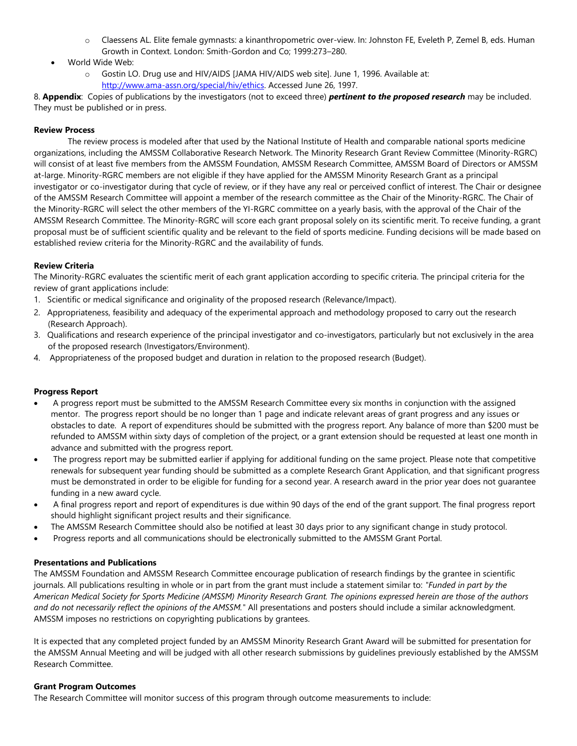- o Claessens AL. Elite female gymnasts: a kinanthropometric over-view. In: Johnston FE, Eveleth P, Zemel B, eds. Human Growth in Context. London: Smith-Gordon and Co; 1999:273–280.
- World Wide Web:
	- o Gostin LO. Drug use and HIV/AIDS [JAMA HIV/AIDS web site]. June 1, 1996. Available at: [http://www.ama-assn.org/special/hiv/ethics.](http://www.ama-assn.org/special/hiv/ethics) Accessed June 26, 1997.

8. **Appendix**: Copies of publications by the investigators (not to exceed three) *pertinent to the proposed research* may be included. They must be published or in press.

# **Review Process**

The review process is modeled after that used by the National Institute of Health and comparable national sports medicine organizations, including the AMSSM Collaborative Research Network. The Minority Research Grant Review Committee (Minority-RGRC) will consist of at least five members from the AMSSM Foundation, AMSSM Research Committee, AMSSM Board of Directors or AMSSM at-large. Minority-RGRC members are not eligible if they have applied for the AMSSM Minority Research Grant as a principal investigator or co-investigator during that cycle of review, or if they have any real or perceived conflict of interest. The Chair or designee of the AMSSM Research Committee will appoint a member of the research committee as the Chair of the Minority-RGRC. The Chair of the Minority-RGRC will select the other members of the YI-RGRC committee on a yearly basis, with the approval of the Chair of the AMSSM Research Committee. The Minority-RGRC will score each grant proposal solely on its scientific merit. To receive funding, a grant proposal must be of sufficient scientific quality and be relevant to the field of sports medicine. Funding decisions will be made based on established review criteria for the Minority-RGRC and the availability of funds.

# **Review Criteria**

The Minority-RGRC evaluates the scientific merit of each grant application according to specific criteria. The principal criteria for the review of grant applications include:

- 1. Scientific or medical significance and originality of the proposed research (Relevance/Impact).
- 2. Appropriateness, feasibility and adequacy of the experimental approach and methodology proposed to carry out the research (Research Approach).
- 3. Qualifications and research experience of the principal investigator and co-investigators, particularly but not exclusively in the area of the proposed research (Investigators/Environment).
- 4. Appropriateness of the proposed budget and duration in relation to the proposed research (Budget).

#### **Progress Report**

- A progress report must be submitted to the AMSSM Research Committee every six months in conjunction with the assigned mentor. The progress report should be no longer than 1 page and indicate relevant areas of grant progress and any issues or obstacles to date. A report of expenditures should be submitted with the progress report. Any balance of more than \$200 must be refunded to AMSSM within sixty days of completion of the project, or a grant extension should be requested at least one month in advance and submitted with the progress report.
- The progress report may be submitted earlier if applying for additional funding on the same project. Please note that competitive renewals for subsequent year funding should be submitted as a complete Research Grant Application, and that significant progress must be demonstrated in order to be eligible for funding for a second year. A research award in the prior year does not guarantee funding in a new award cycle.
- A final progress report and report of expenditures is due within 90 days of the end of the grant support. The final progress report should highlight significant project results and their significance.
- The AMSSM Research Committee should also be notified at least 30 days prior to any significant change in study protocol.
- Progress reports and all communications should be electronically submitted to the AMSSM Grant Portal.

#### **Presentations and Publications**

The AMSSM Foundation and AMSSM Research Committee encourage publication of research findings by the grantee in scientific journals. All publications resulting in whole or in part from the grant must include a statement similar to: *"Funded in part by the American Medical Society for Sports Medicine (AMSSM) Minority Research Grant. The opinions expressed herein are those of the authors and do not necessarily reflect the opinions of the AMSSM."* All presentations and posters should include a similar acknowledgment. AMSSM imposes no restrictions on copyrighting publications by grantees.

It is expected that any completed project funded by an AMSSM Minority Research Grant Award will be submitted for presentation for the AMSSM Annual Meeting and will be judged with all other research submissions by guidelines previously established by the AMSSM Research Committee.

#### **Grant Program Outcomes**

The Research Committee will monitor success of this program through outcome measurements to include: